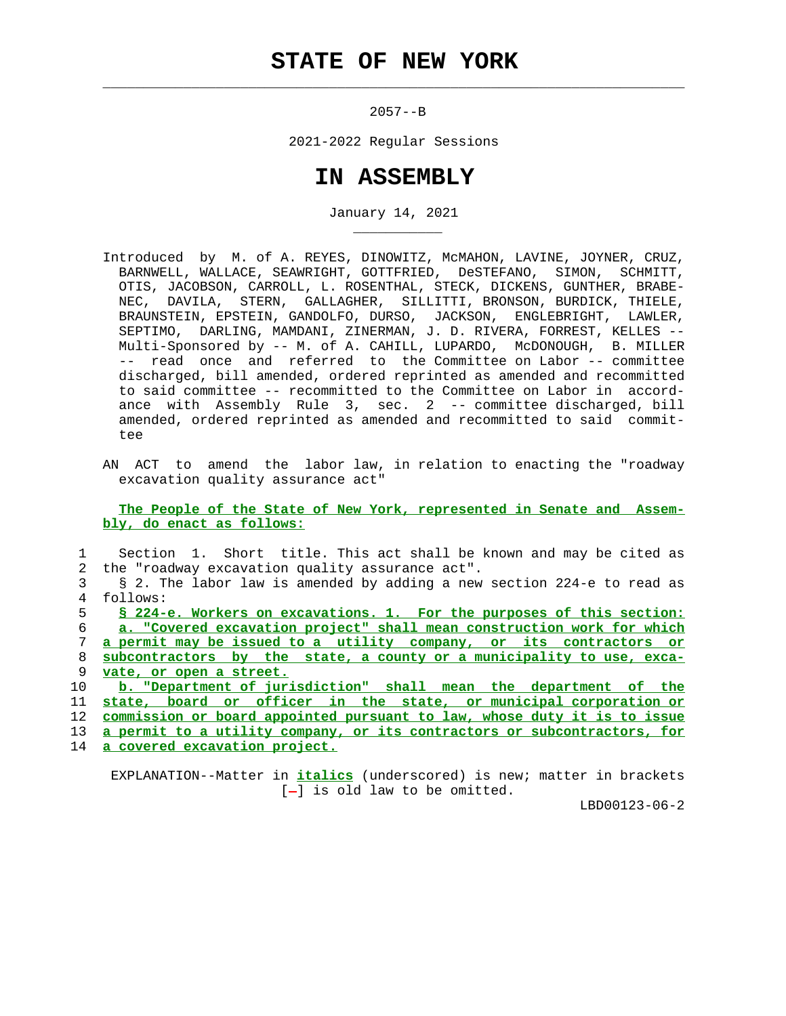$\mathcal{L}_\text{max} = \frac{1}{2} \sum_{i=1}^{n} \frac{1}{2} \sum_{i=1}^{n} \frac{1}{2} \sum_{i=1}^{n} \frac{1}{2} \sum_{i=1}^{n} \frac{1}{2} \sum_{i=1}^{n} \frac{1}{2} \sum_{i=1}^{n} \frac{1}{2} \sum_{i=1}^{n} \frac{1}{2} \sum_{i=1}^{n} \frac{1}{2} \sum_{i=1}^{n} \frac{1}{2} \sum_{i=1}^{n} \frac{1}{2} \sum_{i=1}^{n} \frac{1}{2} \sum_{i=1}^{n} \frac{1$ 

\_\_\_\_\_\_\_\_\_\_\_

 $2057 - -B$ 

2021-2022 Regular Sessions

## **IN ASSEMBLY**

January 14, 2021

- Introduced by M. of A. REYES, DINOWITZ, McMAHON, LAVINE, JOYNER, CRUZ, BARNWELL, WALLACE, SEAWRIGHT, GOTTFRIED, DeSTEFANO, SIMON, SCHMITT, OTIS, JACOBSON, CARROLL, L. ROSENTHAL, STECK, DICKENS, GUNTHER, BRABE- NEC, DAVILA, STERN, GALLAGHER, SILLITTI, BRONSON, BURDICK, THIELE, BRAUNSTEIN, EPSTEIN, GANDOLFO, DURSO, JACKSON, ENGLEBRIGHT, LAWLER, SEPTIMO, DARLING, MAMDANI, ZINERMAN, J. D. RIVERA, FORREST, KELLES -- Multi-Sponsored by -- M. of A. CAHILL, LUPARDO, McDONOUGH, B. MILLER -- read once and referred to the Committee on Labor -- committee discharged, bill amended, ordered reprinted as amended and recommitted to said committee -- recommitted to the Committee on Labor in accord ance with Assembly Rule 3, sec. 2 -- committee discharged, bill amended, ordered reprinted as amended and recommitted to said commit tee
- AN ACT to amend the labor law, in relation to enacting the "roadway excavation quality assurance act"

 **The People of the State of New York, represented in Senate and Assem bly, do enact as follows:**

|    | Section 1. Short title. This act shall be known and may be cited as      |
|----|--------------------------------------------------------------------------|
| 2  | the "roadway excavation quality assurance act".                          |
|    | § 2. The labor law is amended by adding a new section 224-e to read as   |
| 4  | follows:                                                                 |
| 5. | § 224-e. Workers on excavations. 1. For the purposes of this section:    |
| 6  | a. "Covered excavation project" shall mean construction work for which   |
| 7  | a permit may be issued to a utility company, or its contractors or       |
| 8  | subcontractors by the state, a county or a municipality to use, exca-    |
| 9  | vate, or open a street.                                                  |
| 10 | b. "Department of jurisdiction" shall mean the department of the         |
| 11 | state, board or officer in the state, or municipal corporation or        |
| 12 | commission or board appointed pursuant to law, whose duty it is to issue |
| 13 | a permit to a utility company, or its contractors or subcontractors, for |
|    | 14 a covered excavation project.                                         |

 EXPLANATION--Matter in **italics** (underscored) is new; matter in brackets  $[-]$  is old law to be omitted.

LBD00123-06-2